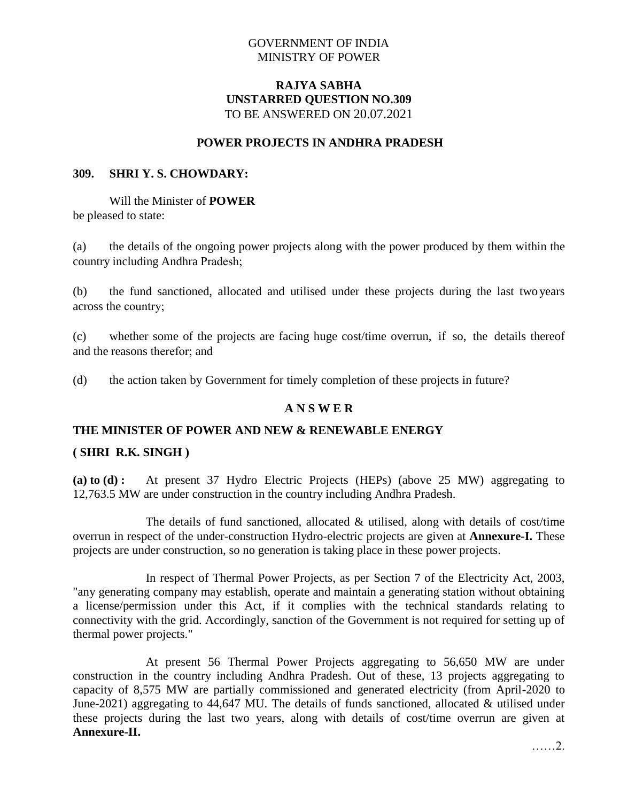# GOVERNMENT OF INDIA MINISTRY OF POWER

## **RAJYA SABHA UNSTARRED QUESTION NO.309** TO BE ANSWERED ON 20.07.2021

#### **POWER PROJECTS IN ANDHRA PRADESH**

#### **309. SHRI Y. S. CHOWDARY:**

Will the Minister of **POWER** be pleased to state:

(a) the details of the ongoing power projects along with the power produced by them within the country including Andhra Pradesh;

(b) the fund sanctioned, allocated and utilised under these projects during the last two years across the country;

(c) whether some of the projects are facing huge cost/time overrun, if so, the details thereof and the reasons therefor; and

(d) the action taken by Government for timely completion of these projects in future?

#### **A N S W E R**

#### **THE MINISTER OF POWER AND NEW & RENEWABLE ENERGY**

### **( SHRI R.K. SINGH )**

**(a) to (d) :** At present 37 Hydro Electric Projects (HEPs) (above 25 MW) aggregating to 12,763.5 MW are under construction in the country including Andhra Pradesh.

The details of fund sanctioned, allocated  $\&$  utilised, along with details of cost/time overrun in respect of the under-construction Hydro-electric projects are given at **Annexure-I.** These projects are under construction, so no generation is taking place in these power projects.

In respect of Thermal Power Projects, as per Section 7 of the Electricity Act, 2003, "any generating company may establish, operate and maintain a generating station without obtaining a license/permission under this Act, if it complies with the technical standards relating to connectivity with the grid. Accordingly, sanction of the Government is not required for setting up of thermal power projects."

At present 56 Thermal Power Projects aggregating to 56,650 MW are under construction in the country including Andhra Pradesh. Out of these, 13 projects aggregating to capacity of 8,575 MW are partially commissioned and generated electricity (from April-2020 to June-2021) aggregating to 44,647 MU. The details of funds sanctioned, allocated & utilised under these projects during the last two years, along with details of cost/time overrun are given at **Annexure-II.**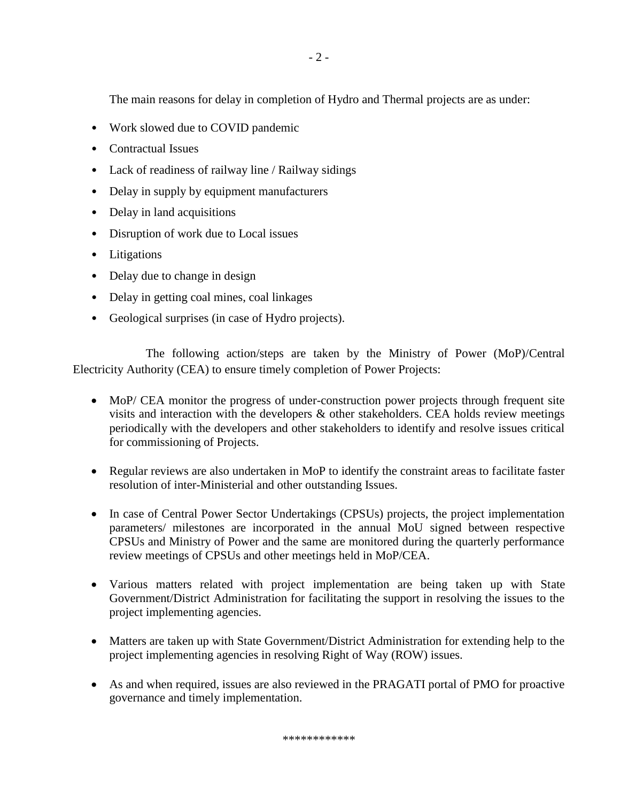The main reasons for delay in completion of Hydro and Thermal projects are as under:

- Work slowed due to COVID pandemic
- Contractual Issues
- Lack of readiness of railway line / Railway sidings
- Delay in supply by equipment manufacturers
- Delay in land acquisitions
- Disruption of work due to Local issues
- Litigations
- Delay due to change in design
- Delay in getting coal mines, coal linkages
- Geological surprises (in case of Hydro projects).

The following action/steps are taken by the Ministry of Power (MoP)/Central Electricity Authority (CEA) to ensure timely completion of Power Projects:

- MoP/ CEA monitor the progress of under-construction power projects through frequent site visits and interaction with the developers & other stakeholders. CEA holds review meetings periodically with the developers and other stakeholders to identify and resolve issues critical for commissioning of Projects.
- Regular reviews are also undertaken in MoP to identify the constraint areas to facilitate faster resolution of inter-Ministerial and other outstanding Issues.
- In case of Central Power Sector Undertakings (CPSUs) projects, the project implementation parameters/ milestones are incorporated in the annual MoU signed between respective CPSUs and Ministry of Power and the same are monitored during the quarterly performance review meetings of CPSUs and other meetings held in MoP/CEA.
- Various matters related with project implementation are being taken up with State Government/District Administration for facilitating the support in resolving the issues to the project implementing agencies.
- Matters are taken up with State Government/District Administration for extending help to the project implementing agencies in resolving Right of Way (ROW) issues.
- As and when required, issues are also reviewed in the PRAGATI portal of PMO for proactive governance and timely implementation.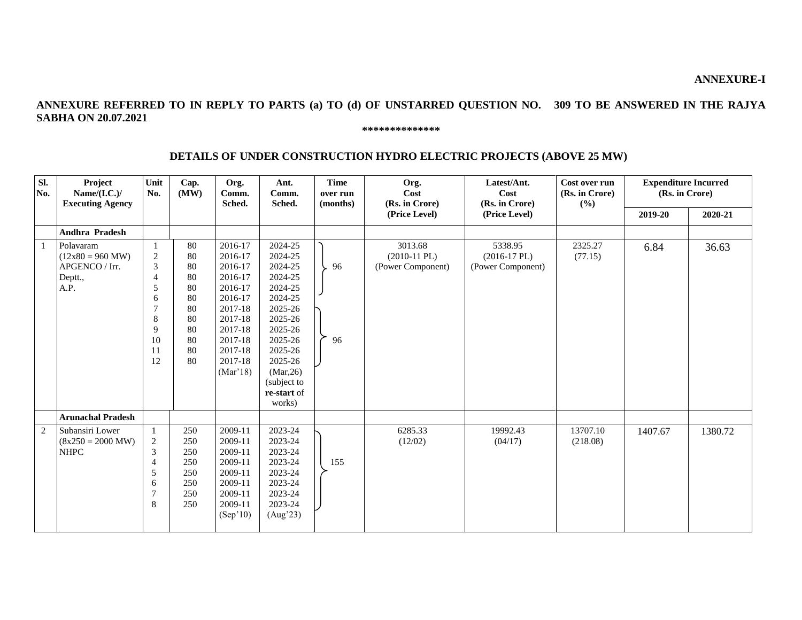## **ANNEXURE REFERRED TO IN REPLY TO PARTS (a) TO (d) OF UNSTARRED QUESTION NO. 309 TO BE ANSWERED IN THE RAJYA SABHA ON 20.07.2021**

#### **\*\*\*\*\*\*\*\*\*\*\*\*\*\***

#### **DETAILS OF UNDER CONSTRUCTION HYDRO ELECTRIC PROJECTS (ABOVE 25 MW)**

| SI.<br>No.     | Project<br>Name/(I.C.)/<br><b>Executing Agency</b>                           | Unit<br>No.                                                                                                | Cap.<br>(MW)                                                         | Org.<br>Comm.<br>Sched.                                                                                                                      | Ant.<br>Comm.<br>Sched.                                                                                                                                                               | <b>Time</b><br>over run<br>(months) | Org.<br>Cost<br>(Rs. in Crore)                 | Latest/Ant.<br>Cost<br>(Rs. in Crore)          | Cost over run<br>(Rs. in Crore)<br>(%) | <b>Expenditure Incurred</b><br>(Rs. in Crore) |         |
|----------------|------------------------------------------------------------------------------|------------------------------------------------------------------------------------------------------------|----------------------------------------------------------------------|----------------------------------------------------------------------------------------------------------------------------------------------|---------------------------------------------------------------------------------------------------------------------------------------------------------------------------------------|-------------------------------------|------------------------------------------------|------------------------------------------------|----------------------------------------|-----------------------------------------------|---------|
|                |                                                                              |                                                                                                            |                                                                      |                                                                                                                                              |                                                                                                                                                                                       |                                     | (Price Level)                                  | (Price Level)                                  |                                        | 2019-20                                       | 2020-21 |
|                | Andhra Pradesh                                                               |                                                                                                            |                                                                      |                                                                                                                                              |                                                                                                                                                                                       |                                     |                                                |                                                |                                        |                                               |         |
| $\overline{1}$ | Polavaram<br>$(12x80 = 960 \text{ MW})$<br>APGENCO / Irr.<br>Deptt.,<br>A.P. | -1<br>$\overline{c}$<br>3<br>$\overline{4}$<br>$\sqrt{5}$<br>6<br>$\tau$<br>$\,8\,$<br>9<br>10<br>11<br>12 | 80<br>80<br>80<br>80<br>80<br>80<br>80<br>80<br>80<br>80<br>80<br>80 | 2016-17<br>2016-17<br>2016-17<br>2016-17<br>2016-17<br>2016-17<br>2017-18<br>2017-18<br>2017-18<br>2017-18<br>2017-18<br>2017-18<br>(Mar'18) | 2024-25<br>2024-25<br>2024-25<br>2024-25<br>2024-25<br>2024-25<br>2025-26<br>2025-26<br>2025-26<br>2025-26<br>2025-26<br>2025-26<br>(Mar, 26)<br>(subject to<br>re-start of<br>works) | 96<br>96                            | 3013.68<br>$(2010-11$ PL)<br>(Power Component) | 5338.95<br>$(2016-17$ PL)<br>(Power Component) | 2325.27<br>(77.15)                     | 6.84                                          | 36.63   |
|                | <b>Arunachal Pradesh</b>                                                     |                                                                                                            |                                                                      |                                                                                                                                              |                                                                                                                                                                                       |                                     |                                                |                                                |                                        |                                               |         |
| 2              | Subansiri Lower<br>$(8x250 = 2000 \text{ MW})$<br><b>NHPC</b>                | 1<br>$\sqrt{2}$<br>3<br>$\overline{4}$<br>5<br>6<br>$\tau$<br>8                                            | 250<br>250<br>250<br>250<br>250<br>250<br>250<br>250                 | 2009-11<br>2009-11<br>2009-11<br>2009-11<br>2009-11<br>2009-11<br>2009-11<br>2009-11<br>(Sep'10)                                             | 2023-24<br>2023-24<br>2023-24<br>2023-24<br>2023-24<br>2023-24<br>2023-24<br>2023-24<br>(Aug'23)                                                                                      | 155                                 | 6285.33<br>(12/02)                             | 19992.43<br>(04/17)                            | 13707.10<br>(218.08)                   | 1407.67                                       | 1380.72 |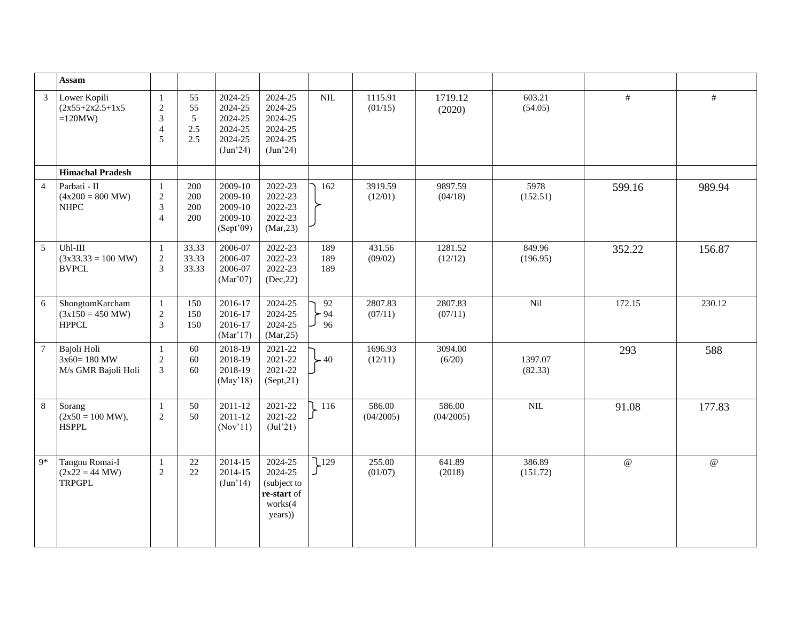|                 | Assam                                                         |                                                            |                                 |                                                                 |                                                                            |                       |                     |                     |                    |                           |                           |
|-----------------|---------------------------------------------------------------|------------------------------------------------------------|---------------------------------|-----------------------------------------------------------------|----------------------------------------------------------------------------|-----------------------|---------------------|---------------------|--------------------|---------------------------|---------------------------|
| $\mathfrak{Z}$  | Lower Kopili<br>$(2x55+2x2.5+1x5)$<br>$=120MW$                | $\mathbf{1}$<br>$\overline{2}$<br>3<br>$\overline{4}$<br>5 | 55<br>55<br>5<br>$2.5\,$<br>2.5 | 2024-25<br>2024-25<br>2024-25<br>2024-25<br>2024-25<br>(Jun'24) | 2024-25<br>2024-25<br>2024-25<br>2024-25<br>2024-25<br>(Jun'24)            | $\mbox{NIL}$          | 1115.91<br>(01/15)  | 1719.12<br>(2020)   | 603.21<br>(54.05)  | $\#$                      | $\#$                      |
|                 | <b>Himachal Pradesh</b>                                       |                                                            |                                 |                                                                 |                                                                            |                       |                     |                     |                    |                           |                           |
| $\overline{4}$  | Parbati - II<br>$(4x200 = 800)$ MW)<br><b>NHPC</b>            | 1<br>2<br>3<br>$\overline{4}$                              | 200<br>200<br>200<br>200        | 2009-10<br>2009-10<br>2009-10<br>2009-10<br>(Sept'09)           | 2022-23<br>2022-23<br>2022-23<br>2022-23<br>(Mar, 23)                      | 162                   | 3919.59<br>(12/01)  | 9897.59<br>(04/18)  | 5978<br>(152.51)   | 599.16                    | 989.94                    |
| $\overline{5}$  | $U$ hl-III<br>$(3x33.33 = 100 MW)$<br><b>BVPCL</b>            | -1<br>$\boldsymbol{2}$<br>3                                | 33.33<br>33.33<br>33.33         | 2006-07<br>2006-07<br>2006-07<br>(Mar'07)                       | 2022-23<br>2022-23<br>2022-23<br>(Dec, 22)                                 | 189<br>189<br>189     | 431.56<br>(09/02)   | 1281.52<br>(12/12)  | 849.96<br>(196.95) | 352.22                    | 156.87                    |
| 6               | ShongtomKarcham<br>$(3x150 = 450 \text{ MW})$<br><b>HPPCL</b> | $\mathbf{1}$<br>$\overline{2}$<br>3                        | 150<br>150<br>150               | 2016-17<br>2016-17<br>2016-17<br>(Mar'17)                       | 2024-25<br>2024-25<br>2024-25<br>(Mar, 25)                                 | 92<br>$\geq 94$<br>96 | 2807.83<br>(07/11)  | 2807.83<br>(07/11)  | Nil                | 172.15                    | 230.12                    |
| $7\phantom{.0}$ | Bajoli Holi<br>$3x60 = 180$ MW<br>M/s GMR Bajoli Holi         | $\mathbf{1}$<br>$\overline{2}$<br>3                        | 60<br>60<br>60                  | 2018-19<br>2018-19<br>2018-19<br>(May'18)                       | 2021-22<br>2021-22<br>2021-22<br>(Sept, 21)                                | $\geq 40$             | 1696.93<br>(12/11)  | 3094.00<br>(6/20)   | 1397.07<br>(82.33) | 293                       | 588                       |
| 8               | Sorang<br>$(2x50 = 100$ MW),<br><b>HSPPL</b>                  | $\mathbf{1}$<br>$\overline{2}$                             | 50<br>50                        | 2011-12<br>2011-12<br>(Nov'11)                                  | 2021-22<br>2021-22<br>$(\text{Jul'}21)$                                    | 116                   | 586.00<br>(04/2005) | 586.00<br>(04/2005) | $\mbox{NIL}$       | 91.08                     | 177.83                    |
| $9*$            | Tangnu Romai-I<br>$(2x22 = 44 MW)$<br><b>TRPGPL</b>           | 1<br>2                                                     | $22\,$<br>22                    | 2014-15<br>2014-15<br>(Jun'14)                                  | 2024-25<br>2024-25<br>(subject to<br>re-start of<br>works $(4)$<br>years)) | $L_{129}$             | 255.00<br>(01/07)   | 641.89<br>(2018)    | 386.89<br>(151.72) | $^\text{\textregistered}$ | $^\text{\textregistered}$ |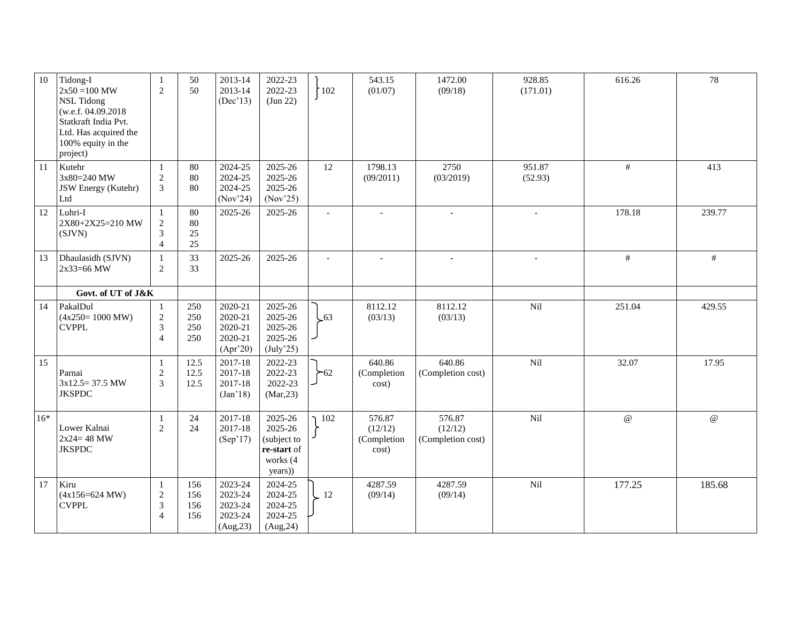| 10    | Tidong-I<br>$2x50 = 100$ MW<br><b>NSL Tidong</b><br>(w.e.f. 04.09.2018)<br>Statkraft India Pvt.<br>Ltd. Has acquired the<br>100% equity in the<br>project) | $\overline{2}$                                      | 50<br>50                 | 2013-14<br>2013-14<br>(Dec'13)                        | 2022-23<br>2022-23<br>$({\rm Jun} 22)$                                  | $\pm 102$      | 543.15<br>(01/07)                         | 1472.00<br>(09/18)                     | 928.85<br>(171.01) | 616.26 | 78       |
|-------|------------------------------------------------------------------------------------------------------------------------------------------------------------|-----------------------------------------------------|--------------------------|-------------------------------------------------------|-------------------------------------------------------------------------|----------------|-------------------------------------------|----------------------------------------|--------------------|--------|----------|
| -11   | Kutehr<br>$3x80=240$ MW<br>JSW Energy (Kutehr)<br>Ltd                                                                                                      | $\mathbf{1}$<br>$\sqrt{2}$<br>3                     | 80<br>80<br>80           | 2024-25<br>2024-25<br>2024-25<br>(Nov'24)             | 2025-26<br>2025-26<br>2025-26<br>(Nov'25)                               | 12             | 1798.13<br>(09/2011)                      | 2750<br>(03/2019)                      | 951.87<br>(52.93)  | #      | 413      |
| 12    | Luhri-I<br>2X80+2X25=210 MW<br>(SJVN)                                                                                                                      | 1<br>$\sqrt{2}$<br>3<br>$\overline{4}$              | 80<br>80<br>25<br>25     | 2025-26                                               | 2025-26                                                                 | $\sim$         | $\overline{a}$                            |                                        |                    | 178.18 | 239.77   |
| 13    | Dhaulasidh (SJVN)<br>$2x33=66$ MW                                                                                                                          | 1<br>$\overline{2}$                                 | 33<br>33                 | 2025-26                                               | 2025-26                                                                 | $\overline{a}$ |                                           |                                        |                    | $\#$   | $\#$     |
|       | Govt. of UT of J&K                                                                                                                                         |                                                     |                          |                                                       |                                                                         |                |                                           |                                        |                    |        |          |
| 14    | PakalDul<br>$(4x250=1000$ MW)<br><b>CVPPL</b>                                                                                                              | 1<br>$\sqrt{2}$<br>$\overline{3}$<br>$\overline{4}$ | 250<br>250<br>250<br>250 | 2020-21<br>2020-21<br>2020-21<br>2020-21<br>(Apr'20)  | 2025-26<br>2025-26<br>2025-26<br>2025-26<br>$(\text{July'}25)$          | $-63$          | 8112.12<br>(03/13)                        | 8112.12<br>(03/13)                     | Nil                | 251.04 | 429.55   |
| 15    | Parnai<br>$3x12.5 = 37.5$ MW<br><b>JKSPDC</b>                                                                                                              | 1<br>2<br>3                                         | 12.5<br>12.5<br>12.5     | 2017-18<br>2017-18<br>2017-18<br>(Jan'18)             | 2022-23<br>2022-23<br>2022-23<br>(Mar, 23)                              | $\succ$ 62     | 640.86<br>(Completion<br>cost)            | 640.86<br>(Completion cost)            | Nil                | 32.07  | 17.95    |
| $16*$ | Lower Kalnai<br>$2x24 = 48$ MW<br><b>JKSPDC</b>                                                                                                            | 1<br>2                                              | 24<br>24                 | 2017-18<br>2017-18<br>(Sep'17)                        | 2025-26<br>2025-26<br>(subject to<br>re-start of<br>works (4<br>years)) | 102            | 576.87<br>(12/12)<br>(Completion<br>cost) | 576.87<br>(12/12)<br>(Completion cost) | Nil                | @      | $\omega$ |
| 17    | Kiru<br>$(4x156=624$ MW)<br><b>CVPPL</b>                                                                                                                   | -1<br>$\overline{c}$<br>3<br>$\overline{4}$         | 156<br>156<br>156<br>156 | 2023-24<br>2023-24<br>2023-24<br>2023-24<br>(Aug, 23) | 2024-25<br>2024-25<br>2024-25<br>2024-25<br>(Aug, 24)                   | 12             | 4287.59<br>(09/14)                        | 4287.59<br>(09/14)                     | Nil                | 177.25 | 185.68   |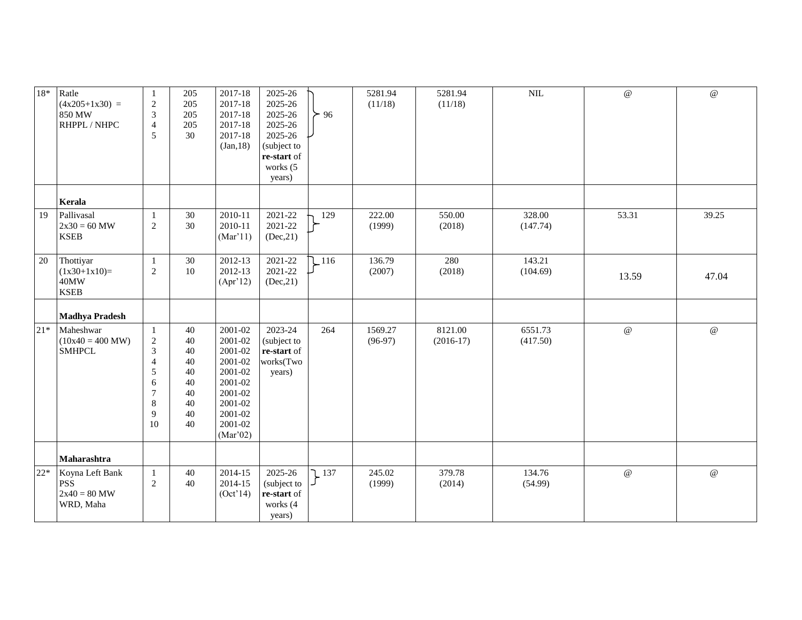| $18*$ | Ratle<br>$(4x205+1x30) =$<br>850 MW<br>RHPPL / NHPC          | $\mathbf{1}$<br>$\sqrt{2}$<br>$\ensuremath{\mathfrak{Z}}$<br>$\overline{4}$<br>5                           | 205<br>205<br>205<br>205<br>30                           | 2017-18<br>2017-18<br>2017-18<br>2017-18<br>2017-18<br>(Jan, 18)                                                       | 2025-26<br>2025-26<br>2025-26<br>2025-26<br>2025-26<br>(subject to<br>re-start of<br>works (5<br>years) | $\succ$ 96 | 5281.94<br>(11/18)   | 5281.94<br>(11/18)     | $\text{NIL}$        | $^\text{\textregistered}$ | $\oslash$                 |
|-------|--------------------------------------------------------------|------------------------------------------------------------------------------------------------------------|----------------------------------------------------------|------------------------------------------------------------------------------------------------------------------------|---------------------------------------------------------------------------------------------------------|------------|----------------------|------------------------|---------------------|---------------------------|---------------------------|
|       | Kerala                                                       |                                                                                                            |                                                          |                                                                                                                        |                                                                                                         |            |                      |                        |                     |                           |                           |
| 19    | Pallivasal<br>$2x30 = 60$ MW<br><b>KSEB</b>                  | $\mathbf{1}$<br>$\sqrt{2}$                                                                                 | 30<br>30                                                 | 2010-11<br>2010-11<br>(Mar'11)                                                                                         | 2021-22<br>2021-22<br>(Dec, 21)                                                                         | 129        | 222.00<br>(1999)     | 550.00<br>(2018)       | 328.00<br>(147.74)  | 53.31                     | 39.25                     |
| 20    | Thottiyar<br>$(1x30+1x10)=$<br>40MW<br><b>KSEB</b>           | $\mathbf{1}$<br>$\overline{2}$                                                                             | $30\,$<br>10                                             | 2012-13<br>2012-13<br>(Apr'12)                                                                                         | 2021-22<br>2021-22<br>(Dec, 21)                                                                         | 116        | 136.79<br>(2007)     | 280<br>(2018)          | 143.21<br>(104.69)  | 13.59                     | 47.04                     |
|       | <b>Madhya Pradesh</b>                                        |                                                                                                            |                                                          |                                                                                                                        |                                                                                                         |            |                      |                        |                     |                           |                           |
| $21*$ | Maheshwar<br>$(10x40 = 400 MW)$<br><b>SMHPCL</b>             | $\mathbf{1}$<br>$\sqrt{2}$<br>$\mathfrak{Z}$<br>$\overline{4}$<br>5<br>6<br>$\overline{7}$<br>8<br>9<br>10 | 40<br>40<br>40<br>40<br>40<br>40<br>40<br>40<br>40<br>40 | 2001-02<br>2001-02<br>2001-02<br>2001-02<br>2001-02<br>2001-02<br>2001-02<br>2001-02<br>2001-02<br>2001-02<br>(Mar'02) | 2023-24<br>(subject to<br>re-start of<br>works(Two<br>years)                                            | 264        | 1569.27<br>$(96-97)$ | 8121.00<br>$(2016-17)$ | 6551.73<br>(417.50) | $^\text{\textregistered}$ | $^\text{\textregistered}$ |
|       | Maharashtra                                                  |                                                                                                            |                                                          |                                                                                                                        |                                                                                                         |            |                      |                        |                     |                           |                           |
| $22*$ | Koyna Left Bank<br><b>PSS</b><br>$2x40 = 80$ MW<br>WRD, Maha | $\mathbf{1}$<br>$\overline{2}$                                                                             | 40<br>40                                                 | 2014-15<br>2014-15<br>(Oct'14)                                                                                         | 2025-26<br>(subject to<br>re-start of<br>works (4<br>years)                                             | 137        | 245.02<br>(1999)     | 379.78<br>(2014)       | 134.76<br>(54.99)   | $^\text{\textregistered}$ | $^\text{\textregistered}$ |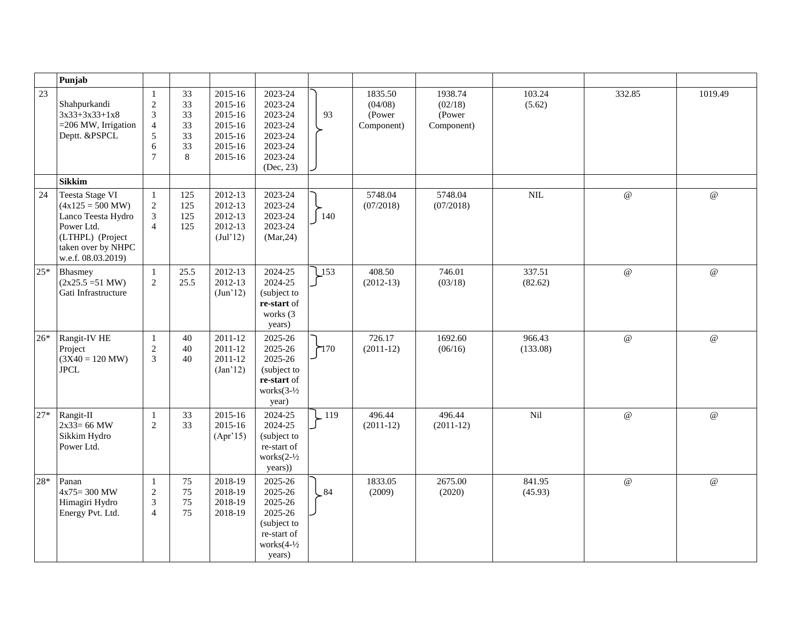|       | Punjab                                                                                                                                    |                                                                                 |                                       |                                                                           |                                                                                                     |                 |                                            |                                            |                    |                           |                           |
|-------|-------------------------------------------------------------------------------------------------------------------------------------------|---------------------------------------------------------------------------------|---------------------------------------|---------------------------------------------------------------------------|-----------------------------------------------------------------------------------------------------|-----------------|--------------------------------------------|--------------------------------------------|--------------------|---------------------------|---------------------------|
| 23    | Shahpurkandi<br>$3x33+3x33+1x8$<br>$=$ 206 MW, Irrigation<br>Deptt. &PSPCL                                                                | $\mathbf{1}$<br>$\sqrt{2}$<br>3<br>$\overline{4}$<br>5<br>6<br>$\boldsymbol{7}$ | 33<br>33<br>33<br>33<br>33<br>33<br>8 | 2015-16<br>2015-16<br>2015-16<br>2015-16<br>2015-16<br>2015-16<br>2015-16 | 2023-24<br>2023-24<br>2023-24<br>2023-24<br>2023-24<br>2023-24<br>2023-24<br>(Dec, 23)              | 93              | 1835.50<br>(04/08)<br>(Power<br>Component) | 1938.74<br>(02/18)<br>(Power<br>Component) | 103.24<br>(5.62)   | 332.85                    | 1019.49                   |
|       | Sikkim                                                                                                                                    |                                                                                 |                                       |                                                                           |                                                                                                     |                 |                                            |                                            |                    |                           |                           |
| 24    | Teesta Stage VI<br>$(4x125 = 500 MW)$<br>Lanco Teesta Hydro<br>Power Ltd.<br>(LTHPL) (Project<br>taken over by NHPC<br>w.e.f. 08.03.2019) | $1\,$<br>$\sqrt{2}$<br>$\mathfrak{Z}$<br>$\overline{4}$                         | 125<br>125<br>125<br>125              | 2012-13<br>2012-13<br>2012-13<br>2012-13<br>$(\text{Jul'}12)$             | 2023-24<br>2023-24<br>2023-24<br>2023-24<br>(Mar, 24)                                               | 140             | 5748.04<br>(07/2018)                       | 5748.04<br>(07/2018)                       | NIL                | $\mathcal Q$              | $^\text{\textregistered}$ |
| $25*$ | Bhasmey<br>$(2x25.5 = 51$ MW)<br>Gati Infrastructure                                                                                      | $\mathbf{1}$<br>$\sqrt{2}$                                                      | 25.5<br>25.5                          | 2012-13<br>2012-13<br>(Jun'12)                                            | 2024-25<br>2024-25<br>(subject to<br>re-start of<br>works (3<br>years)                              | $\frac{153}{2}$ | 408.50<br>$(2012-13)$                      | 746.01<br>(03/18)                          | 337.51<br>(82.62)  | $^\text{\textregistered}$ | $\mathcal Q$              |
| $26*$ | Rangit-IV HE<br>Project<br>$(3X40 = 120 \text{ MW})$<br>$_{\rm{JPCL}}$                                                                    | $\mathbf{1}$<br>$\sqrt{2}$<br>3                                                 | 40<br>40<br>40                        | 2011-12<br>2011-12<br>2011-12<br>(Jan'12)                                 | 2025-26<br>2025-26<br>2025-26<br>(subject to<br>re-start of<br>works $(3-1/2)$<br>year)             | $\sum$ 170      | 726.17<br>$(2011-12)$                      | 1692.60<br>(06/16)                         | 966.43<br>(133.08) | $\mathcal Q$              | $^\text{\textregistered}$ |
| $27*$ | Rangit-II<br>$2x33 = 66$ MW<br>Sikkim Hydro<br>Power Ltd.                                                                                 | $\mathbf{1}$<br>$\overline{2}$                                                  | 33<br>33                              | 2015-16<br>2015-16<br>(Apr'15)                                            | 2024-25<br>2024-25<br>(subject to<br>re-start of<br>works $(2-1/2)$<br>years))                      | 119             | 496.44<br>$(2011-12)$                      | 496.44<br>$(2011-12)$                      | Nil                | $\mathcal Q$              | $^\text{\textregistered}$ |
| $28*$ | Panan<br>$4x75 = 300$ MW<br>Himagiri Hydro<br>Energy Pvt. Ltd.                                                                            | $\mathbf{1}$<br>$\sqrt{2}$<br>$\mathfrak{Z}$<br>$\overline{4}$                  | 75<br>75<br>75<br>75                  | 2018-19<br>2018-19<br>2018-19<br>2018-19                                  | 2025-26<br>2025-26<br>2025-26<br>2025-26<br>(subject to<br>re-start of<br>works $(4-1/2)$<br>years) | $\bigcup 84$    | 1833.05<br>(2009)                          | 2675.00<br>(2020)                          | 841.95<br>(45.93)  | $\mathcal Q$              | $\omega$                  |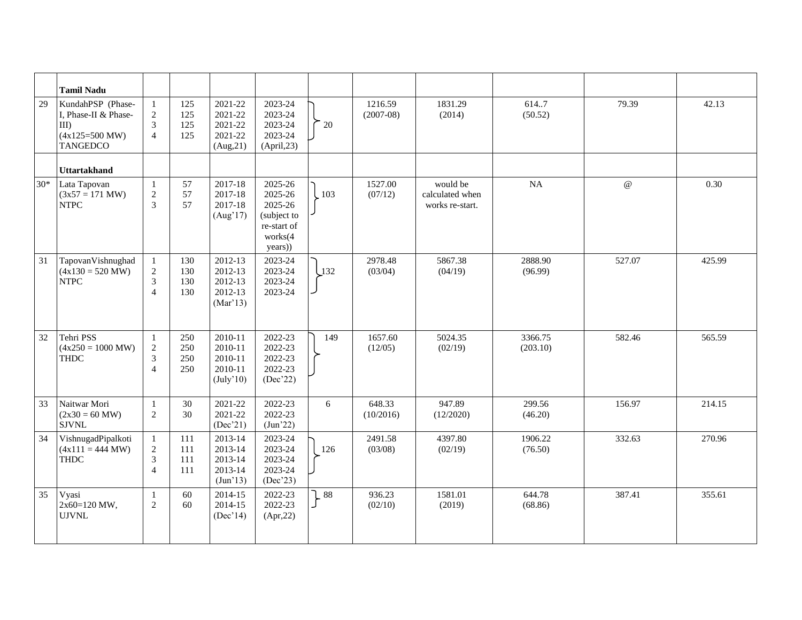|       | <b>Tamil Nadu</b>                                                                           |                                                                |                          |                                                                |                                                                                       |                                  |                        |                                                |                     |        |        |
|-------|---------------------------------------------------------------------------------------------|----------------------------------------------------------------|--------------------------|----------------------------------------------------------------|---------------------------------------------------------------------------------------|----------------------------------|------------------------|------------------------------------------------|---------------------|--------|--------|
| 29    | KundahPSP (Phase-<br>I, Phase-II & Phase-<br>$III$ )<br>$(4x125=500$ MW)<br><b>TANGEDCO</b> | $\mathbf{1}$<br>$\sqrt{2}$<br>$\overline{3}$<br>$\overline{4}$ | 125<br>125<br>125<br>125 | 2021-22<br>2021-22<br>2021-22<br>2021-22<br>(Aug, 21)          | 2023-24<br>2023-24<br>2023-24<br>2023-24<br>(April, 23)                               | 20                               | 1216.59<br>$(2007-08)$ | 1831.29<br>(2014)                              | 614.7<br>(50.52)    | 79.39  | 42.13  |
|       | <b>Uttartakhand</b>                                                                         |                                                                |                          |                                                                |                                                                                       |                                  |                        |                                                |                     |        |        |
| $30*$ | Lata Tapovan<br>$(3x57 = 171$ MW)<br><b>NTPC</b>                                            | $\mathbf{1}$<br>$\sqrt{2}$<br>$\overline{3}$                   | 57<br>57<br>57           | 2017-18<br>2017-18<br>2017-18<br>(Aug'17)                      | 2025-26<br>2025-26<br>2025-26<br>(subject to<br>re-start of<br>works $(4)$<br>years)) | $\left\lfloor 103 \right\rfloor$ | 1527.00<br>(07/12)     | would be<br>calculated when<br>works re-start. | NA                  | @      | 0.30   |
| 31    | TapovanVishnughad<br>$(4x130 = 520 \text{ MW})$<br><b>NTPC</b>                              | -1<br>2<br>$\mathfrak{Z}$<br>$\overline{4}$                    | 130<br>130<br>130<br>130 | 2012-13<br>2012-13<br>2012-13<br>2012-13<br>(Mar'13)           | 2023-24<br>2023-24<br>2023-24<br>2023-24                                              | $\bigcup$ 132                    | 2978.48<br>(03/04)     | 5867.38<br>(04/19)                             | 2888.90<br>(96.99)  | 527.07 | 425.99 |
| 32    | Tehri PSS<br>$(4x250 = 1000 MW)$<br><b>THDC</b>                                             | 1<br>$\sqrt{2}$<br>$\mathfrak{Z}$<br>$\overline{4}$            | 250<br>250<br>250<br>250 | 2010-11<br>2010-11<br>2010-11<br>2010-11<br>$(\text{July'}10)$ | 2022-23<br>2022-23<br>2022-23<br>2022-23<br>(Dec'22)                                  | 149                              | 1657.60<br>(12/05)     | 5024.35<br>(02/19)                             | 3366.75<br>(203.10) | 582.46 | 565.59 |
| 33    | Naitwar Mori<br>$(2x30 = 60$ MW)<br><b>SJVNL</b>                                            | 1<br>$\overline{2}$                                            | 30<br>30                 | 2021-22<br>2021-22<br>(Dec'21)                                 | 2022-23<br>2022-23<br>(Jun'22)                                                        | 6                                | 648.33<br>(10/2016)    | 947.89<br>(12/2020)                            | 299.56<br>(46.20)   | 156.97 | 214.15 |
| 34    | VishnugadPipalkoti<br>$(4x111 = 444 MW)$<br><b>THDC</b>                                     | $\mathbf{1}$<br>$\sqrt{2}$<br>$\mathfrak{Z}$<br>$\overline{4}$ | 111<br>111<br>111<br>111 | 2013-14<br>2013-14<br>2013-14<br>2013-14<br>(Jun'13)           | 2023-24<br>2023-24<br>2023-24<br>2023-24<br>(Dec'23)                                  | 126                              | 2491.58<br>(03/08)     | 4397.80<br>(02/19)                             | 1906.22<br>(76.50)  | 332.63 | 270.96 |
| 35    | Vyasi<br>$2x60=120$ MW,<br><b>UJVNL</b>                                                     | -1<br>2                                                        | 60<br>60                 | 2014-15<br>2014-15<br>(Dec'14)                                 | 2022-23<br>2022-23<br>(Apr, 22)                                                       | 88                               | 936.23<br>(02/10)      | 1581.01<br>(2019)                              | 644.78<br>(68.86)   | 387.41 | 355.61 |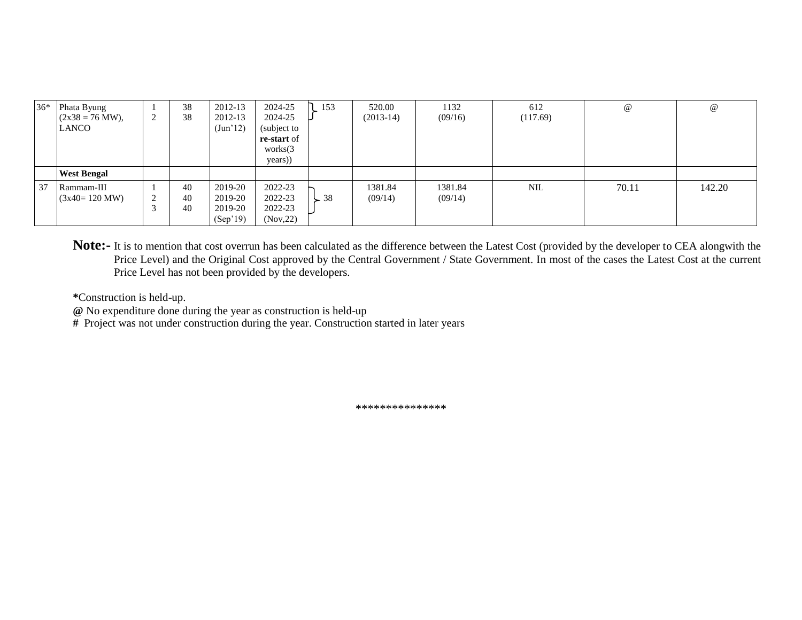| $36*$ | Phata Byung<br>$(2x38 = 76 \text{ MW})$ ,<br>LANCO | 2 | 38<br>38       | 2012-13<br>2012-13<br>(Jun'12)            | 2024-25<br>2024-25<br>(subject to<br>re-start of<br>works $(3)$<br>years)) | 153   | 520.00<br>$(2013-14)$ | 1132<br>(09/16)    | 612<br>(117.69) | @     | $^{\textregistered}$ |
|-------|----------------------------------------------------|---|----------------|-------------------------------------------|----------------------------------------------------------------------------|-------|-----------------------|--------------------|-----------------|-------|----------------------|
|       | <b>West Bengal</b>                                 |   |                |                                           |                                                                            |       |                       |                    |                 |       |                      |
| 37    | Rammam-III<br>$(3x40=120 \text{ MW})$              | 2 | 40<br>40<br>40 | 2019-20<br>2019-20<br>2019-20<br>(Sep'19) | 2022-23<br>2022-23<br>2022-23<br>(Nov, 22)                                 | $-38$ | 1381.84<br>(09/14)    | 1381.84<br>(09/14) | NIL             | 70.11 | 142.20               |

**Note:-** It is to mention that cost overrun has been calculated as the difference between the Latest Cost (provided by the developer to CEA alongwith the Price Level) and the Original Cost approved by the Central Government / State Government. In most of the cases the Latest Cost at the current Price Level has not been provided by the developers.

**\***Construction is held-up.

**@** No expenditure done during the year as construction is held-up

**#** Project was not under construction during the year. Construction started in later years

\*\*\*\*\*\*\*\*\*\*\*\*\*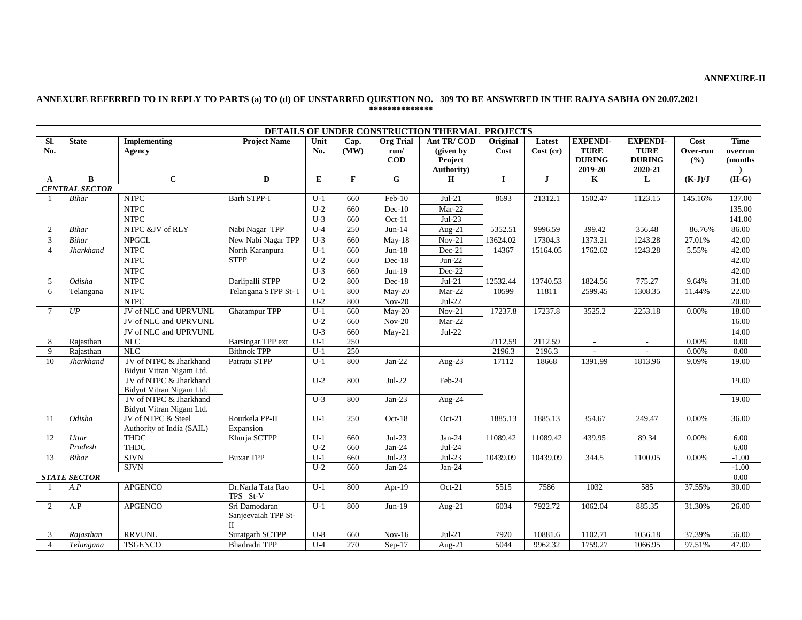#### **ANNEXURE-II**

#### **ANNEXURE REFERRED TO IN REPLY TO PARTS (a) TO (d) OF UNSTARRED QUESTION NO. 309 TO BE ANSWERED IN THE RAJYA SABHA ON 20.07.2021 \*\*\*\*\*\*\*\*\*\*\*\*\*\***

| DETAILS OF UNDER CONSTRUCTION THERMAL PROJECTS |                       |                                          |                           |       |              |                            |                    |          |           |                          |                 |           |             |
|------------------------------------------------|-----------------------|------------------------------------------|---------------------------|-------|--------------|----------------------------|--------------------|----------|-----------|--------------------------|-----------------|-----------|-------------|
| Sl.                                            | <b>State</b>          | <b>Implementing</b>                      | <b>Project Name</b>       | Unit  | Cap.         | <b>Org Trial</b>           | Ant TR/COD         | Original | Latest    | <b>EXPENDI-</b>          | <b>EXPENDI-</b> | Cost      | <b>Time</b> |
| No.                                            |                       | Agency                                   |                           | No.   | (MW)         | run/                       | (given by          | Cost     | Cost (cr) | <b>TURE</b>              | <b>TURE</b>     | Over-run  | overrun     |
|                                                |                       |                                          |                           |       |              | $\bf{COD}$                 | Project            |          |           | <b>DURING</b>            | <b>DURING</b>   | (%)       | (months)    |
|                                                |                       |                                          |                           |       |              |                            | <b>Authority</b> ) |          |           | 2019-20                  | 2020-21         |           |             |
| A                                              | B                     | $\mathbf{C}$                             | D                         | E     | $\mathbf{F}$ | G                          | Н                  | 1        | J         | K                        | L               | $(K-J)/J$ | $(H-G)$     |
|                                                | <b>CENTRAL SECTOR</b> |                                          |                           |       |              |                            |                    |          |           |                          |                 |           |             |
|                                                | <b>Bihar</b>          | <b>NTPC</b>                              | <b>Barh STPP-I</b>        | $U-1$ | 660          | $Feb-10$                   | $Jul-21$           | 8693     | 21312.1   | 1502.47                  | 1123.15         | 145.16%   | 137.00      |
|                                                |                       | <b>NTPC</b>                              |                           | $U-2$ | 660          | $Dec-10$                   | $Mar-22$           |          |           |                          |                 |           | 135.00      |
|                                                |                       | <b>NTPC</b>                              |                           | $U-3$ | 660          | $Oct-11$                   | $Jul-23$           |          |           |                          |                 |           | 141.00      |
| 2                                              | Bihar                 | NTPC &JV of RLY                          | Nabi Nagar TPP            | $U-4$ | 250          | $Jun-14$                   | Aug- $21$          | 5352.51  | 9996.59   | 399.42                   | 356.48          | 86.76%    | 86.00       |
| 3                                              | Bihar                 | <b>NPGCL</b>                             | New Nabi Nagar TPP        | $U-3$ | 660          | $May-18$                   | $Nov-21$           | 13624.02 | 17304.3   | 1373.21                  | 1243.28         | 27.01%    | 42.00       |
| $\overline{4}$                                 | <b>Jharkhand</b>      | <b>NTPC</b>                              | North Karanpura           | $U-1$ | 660          | $Jun-18$                   | $Dec-21$           | 14367    | 15164.05  | 1762.62                  | 1243.28         | 5.55%     | 42.00       |
|                                                |                       | $\ensuremath{\text{NTPC}}$               | <b>STPP</b>               | $U-2$ | 660          | $Dec-18$                   | $Jun-22$           |          |           |                          |                 |           | 42.00       |
|                                                |                       | <b>NTPC</b>                              |                           | $U-3$ | 660          | $Jun-19$                   | Dec-22             |          |           |                          |                 |           | 42.00       |
| 5                                              | Odisha                | <b>NTPC</b>                              | Darlipalli STPP           | $U-2$ | 800          | $Dec-18$                   | $Jul-21$           | 12532.44 | 13740.53  | 1824.56                  | 775.27          | 9.64%     | 31.00       |
| 6                                              | Telangana             | <b>NTPC</b>                              | Telangana STPP St-I       | $U-1$ | 800          | $Mav-20$                   | Mar-22             | 10599    | 11811     | 2599.45                  | 1308.35         | 11.44%    | 22.00       |
|                                                |                       | <b>NTPC</b>                              |                           | $U-2$ | 800          | $Nov-20$                   | $Jul-22$           |          |           |                          |                 |           | 20.00       |
| $\overline{7}$                                 | UP                    | JV of NLC and UPRVUNL                    | <b>Ghatampur TPP</b>      | $U-1$ | 660          | $\overline{\text{May-20}}$ | $Nov-21$           | 17237.8  | 17237.8   | 3525.2                   | 2253.18         | 0.00%     | 18.00       |
|                                                |                       | JV of NLC and UPRVUNL                    |                           | $U-2$ | 660          | $Nov-20$                   | Mar-22             |          |           |                          |                 |           | 16.00       |
|                                                |                       | JV of NLC and UPRVUNL                    |                           | $U-3$ | 660          | $May-21$                   | $Jul-22$           |          |           |                          |                 |           | 14.00       |
| 8                                              | Rajasthan             | <b>NLC</b>                               | <b>Barsingar TPP</b> ext  | $U-1$ | 250          |                            |                    | 2112.59  | 2112.59   |                          |                 | 0.00%     | 0.00        |
| 9                                              | Rajasthan             | NLC                                      | <b>Bithnok TPP</b>        | $U-1$ | 250          |                            |                    | 2196.3   | 2196.3    | $\overline{\phantom{a}}$ | $\sim$          | 0.00%     | 0.00        |
| 10                                             | <b>Jharkhand</b>      | JV of NTPC & Jharkhand                   | Patratu STPP              | $U-1$ | 800          | $Jan-22$                   | Aug-23             | 17112    | 18668     | 1391.99                  | 1813.96         | 9.09%     | 19.00       |
|                                                |                       | Bidyut Vitran Nigam Ltd.                 |                           |       |              |                            |                    |          |           |                          |                 |           |             |
|                                                |                       | JV of NTPC & Jharkhand                   |                           | $U-2$ | 800          | $Jul-22$                   | Feb-24             |          |           |                          |                 |           | 19.00       |
|                                                |                       | Bidyut Vitran Nigam Ltd.                 |                           |       |              |                            |                    |          |           |                          |                 |           |             |
|                                                |                       | JV of NTPC & Jharkhand                   |                           | $U-3$ | 800          | $Jan-23$                   | Aug-24             |          |           |                          |                 |           | 19.00       |
|                                                |                       | Bidyut Vitran Nigam Ltd.                 |                           |       |              |                            |                    |          |           |                          |                 |           |             |
| 11                                             | Odisha                | JV of NTPC & Steel                       | Rourkela PP-II            | $U-1$ | 250          | $Oct-18$                   | $Oct-21$           | 1885.13  | 1885.13   | 354.67                   | 249.47          | 0.00%     | 36.00       |
| 12                                             | Uttar                 | Authority of India (SAIL)<br><b>THDC</b> | Expansion<br>Khurja SCTPP | $U-1$ | 660          | $Jul-23$                   | $Jan-24$           | 11089.42 | 11089.42  | 439.95                   | 89.34           | 0.00%     | 6.00        |
|                                                | Pradesh               | <b>THDC</b>                              |                           | $U-2$ | 660          | $Jan-24$                   | $Jul-24$           |          |           |                          |                 |           | 6.00        |
| 13                                             | Bihar                 | <b>SJVN</b>                              | <b>Buxar TPP</b>          | $U-1$ | 660          | $Jul-23$                   | $Jul-23$           | 10439.09 | 10439.09  | 344.5                    | 1100.05         | 0.00%     | $-1.00$     |
|                                                |                       | <b>SJVN</b>                              |                           | $U-2$ | 660          | $Jan-24$                   | Jan-24             |          |           |                          |                 |           | $-1.00$     |
|                                                | <b>STATE SECTOR</b>   |                                          |                           |       |              |                            |                    |          |           |                          |                 |           | 0.00        |
|                                                | A.P                   | <b>APGENCO</b>                           | Dr.Narla Tata Rao         | $U-1$ | 800          | Apr-19                     | Oct-21             | 5515     | 7586      | 1032                     | 585             | 37.55%    | 30.00       |
|                                                |                       |                                          | TPS St-V                  |       |              |                            |                    |          |           |                          |                 |           |             |
| 2                                              | A.P                   | <b>APGENCO</b>                           | Sri Damodaran             | $U-1$ | 800          | $Jun-19$                   | Aug- $21$          | 6034     | 7922.72   | 1062.04                  | 885.35          | 31.30%    | 26.00       |
|                                                |                       |                                          | Sanjeevaiah TPP St-       |       |              |                            |                    |          |           |                          |                 |           |             |
|                                                |                       |                                          | $\mathbf{I}$              |       |              |                            |                    |          |           |                          |                 |           |             |
| 3                                              | Rajasthan             | <b>RRVUNL</b>                            | Suratgarh SCTPP           | $U-8$ | 660          | $Nov-16$                   | $Jul-21$           | 7920     | 10881.6   | 1102.71                  | 1056.18         | 37.39%    | 56.00       |
| $\overline{4}$                                 | Telangana             | <b>TSGENCO</b>                           | Bhadradri TPP             | $U-4$ | 270          | $Sep-17$                   | Aug- $21$          | 5044     | 9962.32   | 1759.27                  | 1066.95         | 97.51%    | 47.00       |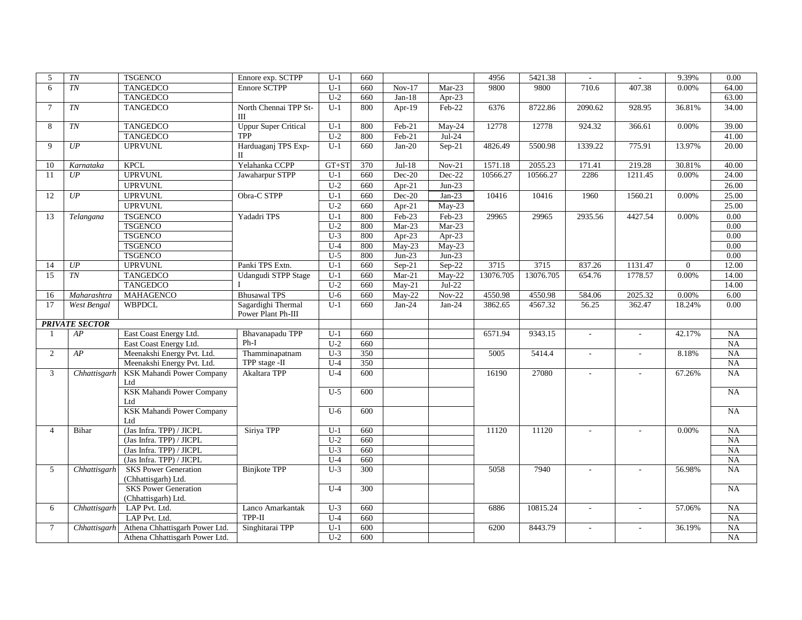| 5               | $\overline{TN}$       | <b>TSGENCO</b>                                       | Ennore exp. SCTPP           | $U-1$            | 660        |          |                            | 4956      | 5421.38   | $\sim$                      |                             | 9.39%        | 0.00                     |
|-----------------|-----------------------|------------------------------------------------------|-----------------------------|------------------|------------|----------|----------------------------|-----------|-----------|-----------------------------|-----------------------------|--------------|--------------------------|
| 6               | TN                    | <b>TANGEDCO</b>                                      | <b>Ennore SCTPP</b>         | $U-1$            | 660        | $Nov-17$ | $Mar-23$                   | 9800      | 9800      | 710.6                       | 407.38                      | 0.00%        | 64.00                    |
|                 |                       | <b>TANGEDCO</b>                                      |                             | $U-2$            | 660        | $Jan-18$ | Apr-23                     |           |           |                             |                             |              | 63.00                    |
| $7\phantom{.0}$ | <b>TN</b>             | <b>TANGEDCO</b>                                      | North Chennai TPP St-       | $U-1$            | 800        | Apr-19   | $\overline{\text{Feb-22}}$ | 6376      | 8722.86   | 2090.62                     | 928.95                      | 36.81%       | 34.00                    |
|                 |                       |                                                      | Ш                           |                  |            |          |                            |           |           |                             |                             |              |                          |
| 8               | $\overline{TN}$       | <b>TANGEDCO</b>                                      | <b>Uppur Super Critical</b> | $U-1$            | 800        | $Feb-21$ | $May-24$                   | 12778     | 12778     | 924.32                      | 366.61                      | 0.00%        | 39.00                    |
|                 |                       | <b>TANGEDCO</b>                                      | <b>TPP</b>                  | $U-2$            | 800        | Feb-21   | $Jul-24$                   |           |           |                             |                             |              | 41.00                    |
| 9               | UP                    | <b>UPRVUNL</b>                                       | Harduaganj TPS Exp-         | $\overline{U-1}$ | 660        | $Jan-20$ | $Sep-21$                   | 4826.49   | 5500.98   | 1339.22                     | 775.91                      | 13.97%       | 20.00                    |
|                 |                       |                                                      | $\mathbf{I}$                |                  |            |          |                            |           |           |                             |                             |              |                          |
| 10              | Karnataka             | <b>KPCL</b>                                          | Yelahanka CCPP              | $GT + ST$        | 370        | $Jul-18$ | $Nov-21$                   | 1571.18   | 2055.23   | 171.41                      | 219.28                      | 30.81%       | 40.00                    |
| 11              | UP                    | <b>UPRVUNL</b>                                       | Jawaharpur STPP             | $U-1$            | 660        | $Dec-20$ | $Dec-22$                   | 10566.27  | 10566.27  | 2286                        | 1211.45                     | 0.00%        | 24.00                    |
|                 |                       | <b>UPRVUNL</b>                                       |                             | $U-2$            | 660        | Apr-21   | $Jun-23$                   |           |           |                             |                             |              | 26.00                    |
| 12              | UP                    | <b>UPRVUNL</b>                                       | Obra-C STPP                 | $U-1$            | 660        | $Dec-20$ | $Jan-23$                   | 10416     | 10416     | 1960                        | 1560.21                     | $0.00\%$     | 25.00                    |
|                 |                       | <b>UPRVUNL</b>                                       |                             | $U-2$            | 660        | Apr-21   | May-23                     |           |           |                             |                             |              | 25.00                    |
| 13              | Telangan              | <b>TSGENCO</b>                                       | Yadadri TPS                 | $U-1$            | 800        | Feb-23   | Feb-23                     | 29965     | 29965     | 2935.56                     | 4427.54                     | $0.00\%$     | 0.00                     |
|                 |                       | <b>TSGENCO</b>                                       |                             | $U-2$            | 800        | Mar-23   | $Mar-23$                   |           |           |                             |                             |              | 0.00                     |
|                 |                       | <b>TSGENCO</b>                                       |                             | $U-3$            | 800        | Apr-23   | Apr-23                     |           |           |                             |                             |              | 0.00                     |
|                 |                       | <b>TSGENCO</b>                                       |                             | $U-4$            | 800        | $May-23$ | May-23                     |           |           |                             |                             |              | 0.00                     |
|                 |                       | <b>TSGENCO</b>                                       |                             | $U-5$            | 800        | $Jun-23$ | $Jun-23$                   |           |           |                             |                             |              | 0.00                     |
| 14              | UP                    | <b>UPRVUNL</b>                                       | Panki TPS Extn.             | $U-1$            | 660        | Sep-21   | $Sep-22$                   | 3715      | 3715      | 837.26                      | 1131.47                     | $\mathbf{0}$ | 12.00                    |
| 15              | TN                    | <b>TANGEDCO</b>                                      | Udangudi STPP Stage         | $U-1$            | 660        | $Mar-21$ | May-22                     | 13076.705 | 13076.705 | 654.76                      | 1778.57                     | 0.00%        | 14.00                    |
|                 |                       | <b>TANGEDCO</b>                                      |                             | $U-2$            | 660        | $May-21$ | $Jul-22$                   |           |           |                             |                             |              | 14.00                    |
| 16              | Maharashtra           | <b>MAHAGENCO</b>                                     | <b>Bhusawal TPS</b>         | $U-6$            | 660        | May-22   | $Nov-22$                   | 4550.98   | 4550.98   | 584.06                      | 2025.32                     | 0.00%        | 6.00                     |
| 17              | West Bengal           | WBPDCL                                               | Sagardighi Thermal          | $U-1$            | 660        | $Jan-24$ | $Jan-24$                   | 3862.65   | 4567.32   | 56.25                       | 362.47                      | 18.24%       | 0.00                     |
|                 |                       |                                                      | Power Plant Ph-III          |                  |            |          |                            |           |           |                             |                             |              |                          |
|                 | <b>PRIVATE SECTOR</b> |                                                      |                             |                  |            |          |                            |           |           |                             |                             |              |                          |
|                 | AP                    | East Coast Energy Ltd.                               | Bhavanapadu TPP             | $U-1$            | 660        |          |                            | 6571.94   | 9343.15   | $\sim$                      | $\mathcal{L}_{\mathcal{A}}$ | 42.17%       | NA                       |
|                 |                       | East Coast Energy Ltd.                               | $Ph-I$                      | $U-2$            | 660        |          |                            |           |           |                             |                             |              | <b>NA</b>                |
| 2               | AP                    | Meenakshi Energy Pvt. Ltd.                           | Thamminapatnam              | $U-3$            | 350        |          |                            | 5005      | 5414.4    | $\mathbf{r}$                | $\mathcal{L}_{\mathcal{A}}$ | 8.18%        | <b>NA</b>                |
|                 |                       | Meenakshi Energy Pvt. Ltd.                           | TPP stage -II               | $U-4$            | 350        |          |                            |           |           |                             |                             |              | <b>NA</b>                |
| $\overline{3}$  | Chhattisgarh          | <b>KSK Mahandi Power Company</b>                     | Akaltara TPP                | $\overline{U-4}$ | 600        |          |                            | 16190     | 27080     | $\mathcal{L}_{\mathcal{A}}$ | $\overline{\phantom{a}}$    | 67.26%       | <b>NA</b>                |
|                 |                       | Ltd                                                  |                             |                  |            |          |                            |           |           |                             |                             |              |                          |
|                 |                       | <b>KSK Mahandi Power Company</b>                     |                             | $U-5$            | 600        |          |                            |           |           |                             |                             |              | NA                       |
|                 |                       | Ltd                                                  |                             |                  |            |          |                            |           |           |                             |                             |              |                          |
|                 |                       | <b>KSK Mahandi Power Company</b>                     |                             | $U-6$            | 600        |          |                            |           |           |                             |                             |              | NA                       |
| $\overline{4}$  | Bihar                 | Ltd<br>(Jas Infra. TPP) / JICPL                      | Siriya TPP                  | $U-1$            | 660        |          |                            | 11120     | 11120     |                             |                             | 0.00%        | NA                       |
|                 |                       | (Jas Infra. TPP) / JICPL                             |                             | $U-2$            | 660        |          |                            |           |           |                             |                             |              | NA                       |
|                 |                       |                                                      |                             |                  |            |          |                            |           |           |                             |                             |              |                          |
|                 |                       | (Jas Infra. TPP) / JICPL<br>(Jas Infra. TPP) / JICPL |                             | $U-3$<br>$U-4$   | 660<br>660 |          |                            |           |           |                             |                             |              | $_{\rm NA}$<br><b>NA</b> |
|                 |                       |                                                      |                             |                  |            |          |                            |           |           |                             |                             |              |                          |
| 5               | Chhattisgarh          | <b>SKS</b> Power Generation<br>(Chhattisgarh) Ltd.   | <b>Binjkote TPP</b>         | $U-3$            | 300        |          |                            | 5058      | 7940      | $\sim$                      | $\overline{a}$              | 56.98%       | NA                       |
|                 |                       | <b>SKS Power Generation</b>                          |                             | $U-4$            | 300        |          |                            |           |           |                             |                             |              | NA                       |
|                 |                       | (Chhattisgarh) Ltd.                                  |                             |                  |            |          |                            |           |           |                             |                             |              |                          |
| 6               | Chhattisgarh          | LAP Pvt. Ltd.                                        | Lanco Amarkantak            | $U-3$            | 660        |          |                            | 6886      | 10815.24  | $\sim$                      | $\sim$                      | 57.06%       | <b>NA</b>                |
|                 |                       | LAP Pvt. Ltd.                                        | TPP-II                      | $U-4$            | 660        |          |                            |           |           |                             |                             |              | NA                       |
| $\tau$          | Chhattisgarh          | Athena Chhattisgarh Power Ltd.                       | Singhitarai TPP             | $U-1$            | 600        |          |                            | 6200      | 8443.79   | $\sim$                      | $\sim$                      | 36.19%       | <b>NA</b>                |
|                 |                       | Athena Chhattisgarh Power Ltd.                       |                             | $U-2$            | 600        |          |                            |           |           |                             |                             |              | NA                       |
|                 |                       |                                                      |                             |                  |            |          |                            |           |           |                             |                             |              |                          |